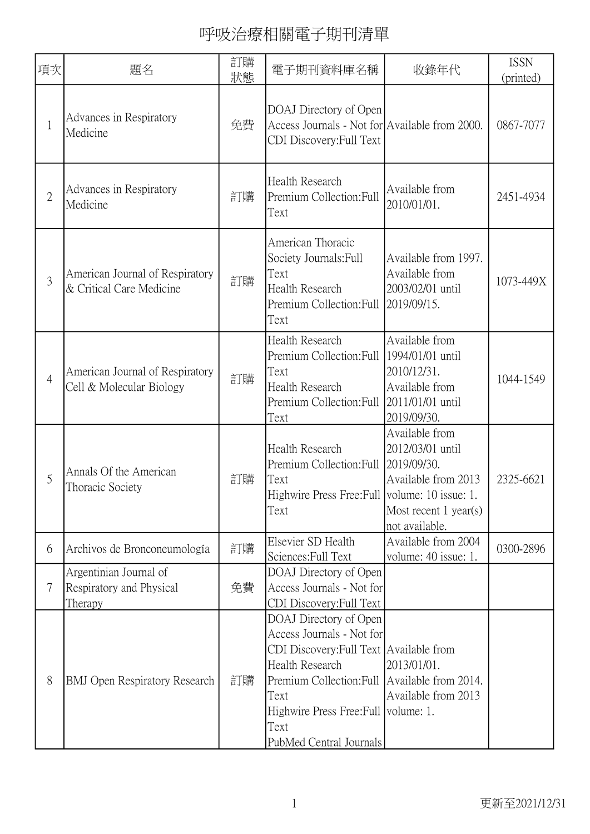| 項次             | 題名                                                            | 訂購<br>狀態 | 電子期刊資料庫名稱                                                                                                                                                                                                                                             | 收錄年代                                                                                                   | <b>ISSN</b><br>(printed) |
|----------------|---------------------------------------------------------------|----------|-------------------------------------------------------------------------------------------------------------------------------------------------------------------------------------------------------------------------------------------------------|--------------------------------------------------------------------------------------------------------|--------------------------|
| $\mathbf{1}$   | Advances in Respiratory<br>Medicine                           | 免費       | DOAJ Directory of Open<br>Access Journals - Not for Available from 2000.<br>CDI Discovery: Full Text                                                                                                                                                  |                                                                                                        | 0867-7077                |
| $\overline{2}$ | Advances in Respiratory<br>Medicine                           | 訂購       | Health Research<br>Premium Collection: Full<br>Text                                                                                                                                                                                                   | Available from<br>2010/01/01.                                                                          | 2451-4934                |
| 3              | American Journal of Respiratory<br>& Critical Care Medicine   | 訂購       | American Thoracic<br>Society Journals: Full<br>Text<br>Health Research<br>Premium Collection: Full<br>Text                                                                                                                                            | Available from 1997.<br>Available from<br>2003/02/01 until<br>2019/09/15.                              | 1073-449X                |
| $\overline{4}$ | American Journal of Respiratory<br>Cell & Molecular Biology   | 訂購       | Health Research<br>Premium Collection: Full 1994/01/01 until<br>Text<br>Health Research<br>Premium Collection: Full 2011/01/01 until<br>Text                                                                                                          | Available from<br>2010/12/31.<br>Available from<br>2019/09/30.                                         | 1044-1549                |
| 5              | Annals Of the American<br>Thoracic Society                    | 訂購       | Health Research<br>Premium Collection: Full 2019/09/30.<br>Text<br>Highwire Press Free: Full   volume: 10 issue: 1<br>Text                                                                                                                            | Available from<br>2012/03/01 until<br>Available from 2013<br>Most recent $1$ year(s)<br>not available. | 2325-6621                |
| 6              | Archivos de Bronconeumología                                  | 訂購       | Elsevier SD Health<br>Sciences: Full Text                                                                                                                                                                                                             | Available from 2004<br>volume: 40 issue: 1.                                                            | 0300-2896                |
| 7              | Argentinian Journal of<br>Respiratory and Physical<br>Therapy | 免費       | DOAJ Directory of Open<br>Access Journals - Not for<br>CDI Discovery: Full Text                                                                                                                                                                       |                                                                                                        |                          |
| 8              | <b>BMJ</b> Open Respiratory Research                          | 訂購       | DOAJ Directory of Open<br>Access Journals - Not for<br>CDI Discovery: Full Text Available from<br>Health Research<br>Premium Collection: Full Available from 2014.<br>Text<br>Highwire Press Free: Full volume: 1.<br>Text<br>PubMed Central Journals | 2013/01/01.<br>Available from 2013                                                                     |                          |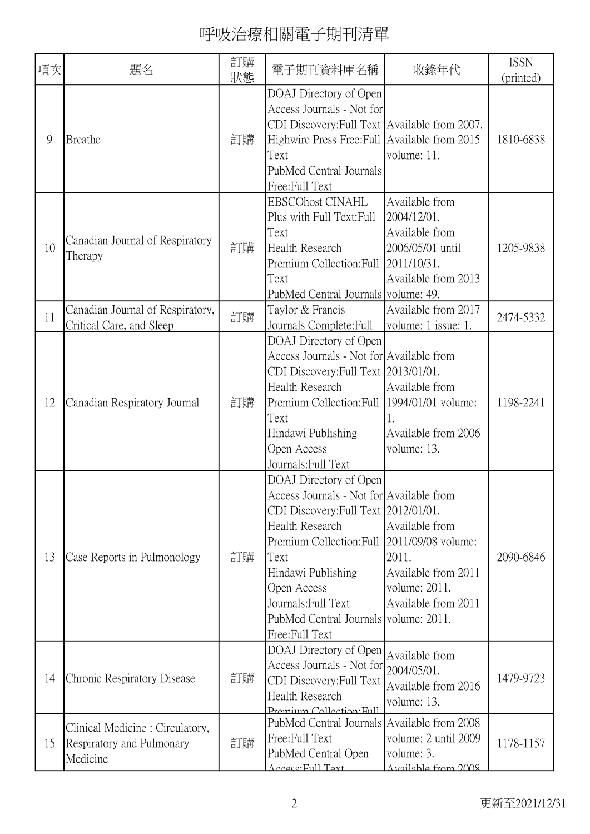| 項次 | 題名                                                                       | 訂購<br>狀態 | 電子期刊資料庫名稱                                                                                                                                                                                                                                                                                                   | 收錄年代                                                                                       | <b>ISSN</b><br>(printed) |
|----|--------------------------------------------------------------------------|----------|-------------------------------------------------------------------------------------------------------------------------------------------------------------------------------------------------------------------------------------------------------------------------------------------------------------|--------------------------------------------------------------------------------------------|--------------------------|
| 9  | Breathe                                                                  | 訂購       | DOAJ Directory of Open<br>Access Journals - Not for<br>CDI Discovery: Full Text Available from 2007.<br>Highwire Press Free: Full Available from 2015<br>Text<br>PubMed Central Journals<br>Free:Full Text                                                                                                  | volume: 11.                                                                                | 1810-6838                |
| 10 | Canadian Journal of Respiratory<br>Therapy                               | 訂購       | <b>EBSCOhost CINAHL</b><br>Plus with Full Text: Full<br>Text<br>Health Research<br>Premium Collection: Full 2011/10/31.<br>Text<br>PubMed Central Journals volume: 49.                                                                                                                                      | Available from<br>2004/12/01.<br>Available from<br>2006/05/01 until<br>Available from 2013 | 1205-9838                |
| 11 | Canadian Journal of Respiratory,<br>Critical Care, and Sleep             | 訂購       | Taylor & Francis<br>Journals Complete: Full                                                                                                                                                                                                                                                                 | Available from 2017<br>volume: 1 issue: 1.                                                 | 2474-5332                |
| 12 | Canadian Respiratory Journal                                             | 訂購       | DOAJ Directory of Open<br>Access Journals - Not for Available from<br>CDI Discovery: Full Text 2013/01/01.<br>Health Research<br>Premium Collection: Full   1994/01/01 volume:<br>Text<br>Hindawi Publishing<br>Open Access<br>Journals: Full Text                                                          | Available from<br>Available from 2006<br>volume: 13.                                       | 1198-2241                |
| 13 | Case Reports in Pulmonology                                              | 訂購       | DOAJ Directory of Open<br>Access Journals - Not for Available from<br>CDI Discovery: Full Text 2012/01/01.<br>Health Research<br>Premium Collection: Full 2011/09/08 volume:<br>Text<br>Hindawi Publishing<br>Open Access<br>Journals: Full Text<br>PubMed Central Journals volume: 2011.<br>Free:Full Text | Available from<br>2011.<br>Available from 2011<br>volume: 2011.<br>Available from 2011     | 2090-6846                |
| 14 | Chronic Respiratory Disease                                              | 訂購       | DOAJ Directory of Open<br>Access Journals - Not for $ 2004/05/01$ .<br>CDI Discovery: Full Text<br>Health Research<br>Premium Collection Full                                                                                                                                                               | Available from<br>Available from 2016<br>volume: 13.                                       | 1479-9723                |
| 15 | Clinical Medicine: Circulatory,<br>Respiratory and Pulmonary<br>Medicine | 訂購       | PubMed Central Journals Available from 2008<br>Free: Full Text<br>PubMed Central Open<br><u> Accass Eull Tayt</u>                                                                                                                                                                                           | volume: 2 until 2009<br>volume: 3.<br>Available from 2008                                  | 1178-1157                |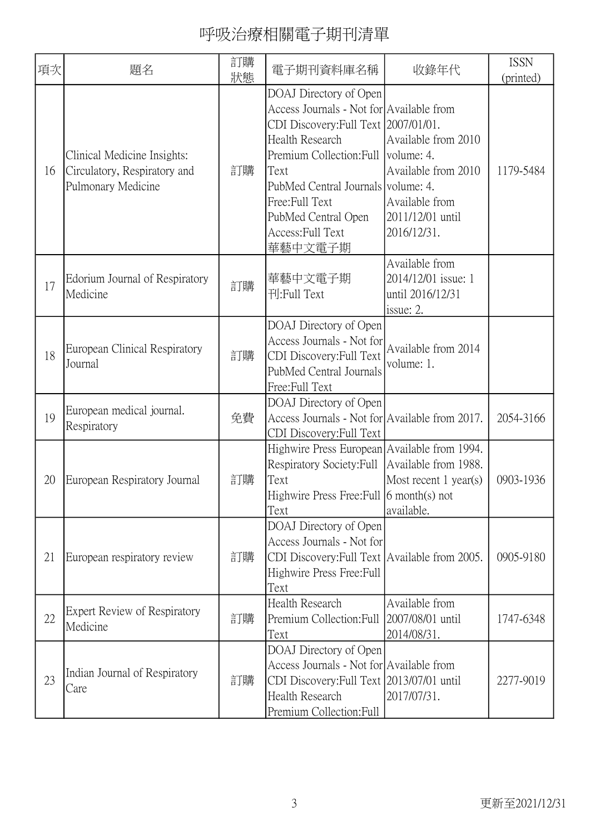| 項次 | 題名                                                                                | 訂購<br>狀態 | 電子期刊資料庫名稱                                                                                                                                                                                                                                                                                            | 收錄年代                                                                                            | <b>ISSN</b><br>(printed) |
|----|-----------------------------------------------------------------------------------|----------|------------------------------------------------------------------------------------------------------------------------------------------------------------------------------------------------------------------------------------------------------------------------------------------------------|-------------------------------------------------------------------------------------------------|--------------------------|
| 16 | Clinical Medicine Insights:<br>Circulatory, Respiratory and<br>Pulmonary Medicine | 訂購       | DOAJ Directory of Open<br>Access Journals - Not for Available from<br>CDI Discovery: Full Text 2007/01/01.<br><b>Health Research</b><br>Premium Collection: Full   volume: 4.<br>Text<br>PubMed Central Journals volume: 4.<br>Free:Full Text<br>PubMed Central Open<br>Access: Full Text<br>華藝中文電子期 | Available from 2010<br>Available from 2010<br>Available from<br>2011/12/01 until<br>2016/12/31. | 1179-5484                |
| 17 | Edorium Journal of Respiratory<br>Medicine                                        | 訂購       | 華藝中文電子期<br>刊:Full Text                                                                                                                                                                                                                                                                               | Available from<br>2014/12/01 issue: 1<br>until 2016/12/31<br>issue: 2.                          |                          |
| 18 | European Clinical Respiratory<br>Journal                                          | 訂購       | DOAJ Directory of Open<br>Access Journals - Not for<br>CDI Discovery: Full Text<br>PubMed Central Journals<br>Free:Full Text                                                                                                                                                                         | Available from 2014<br>volume: 1.                                                               |                          |
| 19 | European medical journal.<br>Respiratory                                          | 免費       | DOAJ Directory of Open<br>Access Journals - Not for Available from 2017.<br>CDI Discovery: Full Text                                                                                                                                                                                                 |                                                                                                 | 2054-3166                |
| 20 | European Respiratory Journal                                                      | 訂購       | Highwire Press European   Available from 1994.<br>Respiratory Society: Full   Available from 1988.<br>Text<br>Highwire Press Free: Full 6 month(s) not<br>Text                                                                                                                                       | Most recent $1$ year(s)<br>available.                                                           | 0903-1936                |
| 21 | European respiratory review                                                       | 訂購       | DOAJ Directory of Open<br>Access Journals - Not for<br>CDI Discovery: Full Text   Available from 2005.<br>Highwire Press Free: Full<br>Text                                                                                                                                                          |                                                                                                 | 0905-9180                |
| 22 | Expert Review of Respiratory<br>Medicine                                          | 訂購       | <b>Health Research</b><br>Premium Collection: Full<br>Text                                                                                                                                                                                                                                           | Available from<br>2007/08/01 until<br>2014/08/31.                                               | 1747-6348                |
| 23 | Indian Journal of Respiratory<br>Care                                             | 訂購       | DOAJ Directory of Open<br>Access Journals - Not for Available from<br>CDI Discovery: Full Text 2013/07/01 until<br>Health Research<br>Premium Collection: Full                                                                                                                                       | 2017/07/31.                                                                                     | 2277-9019                |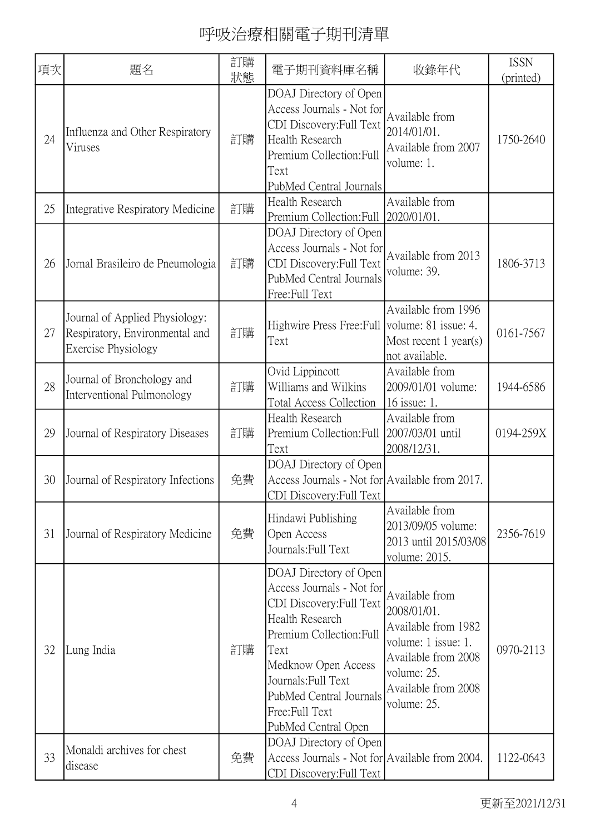| 項次 | 題名                                                                                      | 訂購<br>狀態 | 電子期刊資料庫名稱                                                                                                                                                                                                                                                       | 收錄年代                                                                                                                                                    | <b>ISSN</b><br>(printed) |
|----|-----------------------------------------------------------------------------------------|----------|-----------------------------------------------------------------------------------------------------------------------------------------------------------------------------------------------------------------------------------------------------------------|---------------------------------------------------------------------------------------------------------------------------------------------------------|--------------------------|
| 24 | Influenza and Other Respiratory<br>Viruses                                              | 訂購       | DOAJ Directory of Open<br>Access Journals - Not for<br>CDI Discovery: Full Text<br><b>Health Research</b><br>Premium Collection: Full<br>Text<br>PubMed Central Journals                                                                                        | Available from<br>2014/01/01.<br>Available from 2007<br>volume: 1.                                                                                      | 1750-2640                |
| 25 | Integrative Respiratory Medicine                                                        | 訂購       | Health Research<br>Premium Collection: Full                                                                                                                                                                                                                     | Available from<br>2020/01/01.                                                                                                                           |                          |
| 26 | Jornal Brasileiro de Pneumologia                                                        | 訂購       | DOAJ Directory of Open<br>Access Journals - Not for<br>CDI Discovery: Full Text<br>PubMed Central Journals<br>Free:Full Text                                                                                                                                    | Available from 2013<br>volume: 39.                                                                                                                      | 1806-3713                |
| 27 | Journal of Applied Physiology:<br>Respiratory, Environmental and<br>Exercise Physiology | 訂購       | Highwire Press Free: Full<br>Text                                                                                                                                                                                                                               | Available from 1996<br>volume: 81 issue: 4.<br>Most recent $1$ year(s)<br>not available.                                                                | 0161-7567                |
| 28 | Journal of Bronchology and<br>Interventional Pulmonology                                | 訂購       | Ovid Lippincott<br>Williams and Wilkins<br><b>Total Access Collection</b>                                                                                                                                                                                       | Available from<br>2009/01/01 volume:<br>16 issue: 1.                                                                                                    | 1944-6586                |
| 29 | Journal of Respiratory Diseases                                                         | 訂購       | Health Research<br>Premium Collection: Full<br>Text                                                                                                                                                                                                             | Available from<br>2007/03/01 until<br>2008/12/31.                                                                                                       | 0194-259X                |
| 30 | Journal of Respiratory Infections                                                       | 免費       | DOAJ Directory of Open<br>Access Journals - Not for Available from 2017.<br>CDI Discovery: Full Text                                                                                                                                                            |                                                                                                                                                         |                          |
| 31 | Journal of Respiratory Medicine                                                         | 免費       | Hindawi Publishing<br>Open Access<br>Journals: Full Text                                                                                                                                                                                                        | Available from<br>2013/09/05 volume:<br>2013 until 2015/03/08<br>volume: 2015.                                                                          | 2356-7619                |
| 32 | Lung India                                                                              | 訂購       | DOAJ Directory of Open<br>Access Journals - Not for<br>CDI Discovery: Full Text<br><b>Health Research</b><br>Premium Collection: Full<br>Text<br>Medknow Open Access<br>Journals: Full Text<br>PubMed Central Journals<br>Free:Full Text<br>PubMed Central Open | Available from<br>2008/01/01.<br>Available from 1982<br>volume: 1 issue: 1.<br>Available from 2008<br>volume: 25.<br>Available from 2008<br>volume: 25. | 0970-2113                |
| 33 | Monaldi archives for chest<br>disease                                                   | 免費       | DOAJ Directory of Open<br>Access Journals - Not for Available from 2004.<br>CDI Discovery: Full Text                                                                                                                                                            |                                                                                                                                                         | 1122-0643                |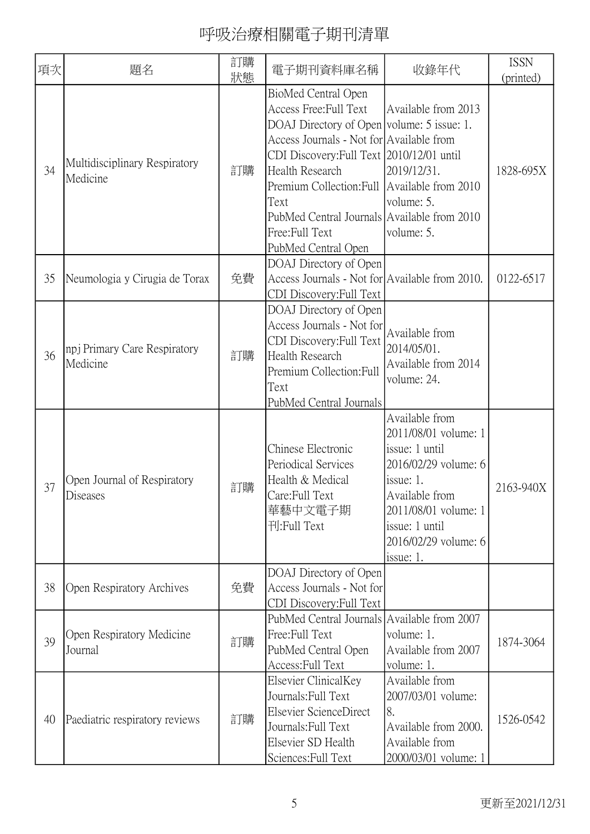| 項次 | 題名                                        | 訂購<br>狀態 | 電子期刊資料庫名稱                                                                                                                                                                                                                                                                                                                                                | 收錄年代                                                                                                                                                                                           | <b>ISSN</b><br>(printed) |
|----|-------------------------------------------|----------|----------------------------------------------------------------------------------------------------------------------------------------------------------------------------------------------------------------------------------------------------------------------------------------------------------------------------------------------------------|------------------------------------------------------------------------------------------------------------------------------------------------------------------------------------------------|--------------------------|
| 34 | Multidisciplinary Respiratory<br>Medicine | 訂購       | BioMed Central Open<br>Access Free: Full Text<br>DOAJ Directory of Open volume: 5 issue: 1.<br>Access Journals - Not for Available from<br>CDI Discovery: Full Text 2010/12/01 until<br>Health Research<br>Premium Collection: Full Available from 2010<br>Text<br>PubMed Central Journals Available from 2010<br>Free: Full Text<br>PubMed Central Open | Available from 2013<br>2019/12/31.<br>volume: 5.<br>volume: 5.                                                                                                                                 | 1828-695X                |
| 35 | Neumologia y Cirugia de Torax             | 免費       | DOAJ Directory of Open<br>Access Journals - Not for Available from 2010.<br>CDI Discovery: Full Text                                                                                                                                                                                                                                                     |                                                                                                                                                                                                | 0122-6517                |
| 36 | npj Primary Care Respiratory<br>Medicine  | 訂購       | DOAJ Directory of Open<br>Access Journals - Not for<br>CDI Discovery: Full Text<br><b>Health Research</b><br>Premium Collection: Full<br>Text<br>PubMed Central Journals                                                                                                                                                                                 | Available from<br>2014/05/01.<br>Available from 2014<br>volume: 24.                                                                                                                            |                          |
| 37 | Open Journal of Respiratory<br>Diseases   | 訂購       | Chinese Electronic<br>Periodical Services<br>Health & Medical<br>Care: Full Text<br>華藝中文電子期<br>刊:Full Text                                                                                                                                                                                                                                               | Available from<br>2011/08/01 volume: 1<br>issue: 1 until<br>2016/02/29 volume: 6<br>issue: 1.<br>Available from<br>2011/08/01 volume: 1<br>issue: 1 until<br>2016/02/29 volume: 6<br>issue: 1. | 2163-940X                |
| 38 | Open Respiratory Archives                 | 免費       | DOAJ Directory of Open<br>Access Journals - Not for<br>CDI Discovery: Full Text                                                                                                                                                                                                                                                                          |                                                                                                                                                                                                |                          |
| 39 | Open Respiratory Medicine<br>Journal      | 訂購       | PubMed Central Journals Available from 2007<br>Free:Full Text<br>PubMed Central Open<br>Access: Full Text                                                                                                                                                                                                                                                | volume: 1.<br>Available from 2007<br>volume: 1.                                                                                                                                                | 1874-3064                |
| 40 | Paediatric respiratory reviews            | 訂購       | Elsevier ClinicalKey<br>Journals: Full Text<br>Elsevier ScienceDirect<br>Journals: Full Text<br>Elsevier SD Health<br>Sciences: Full Text                                                                                                                                                                                                                | Available from<br>2007/03/01 volume:<br>8.<br>Available from 2000.<br>Available from<br>2000/03/01 volume: 1                                                                                   | 1526-0542                |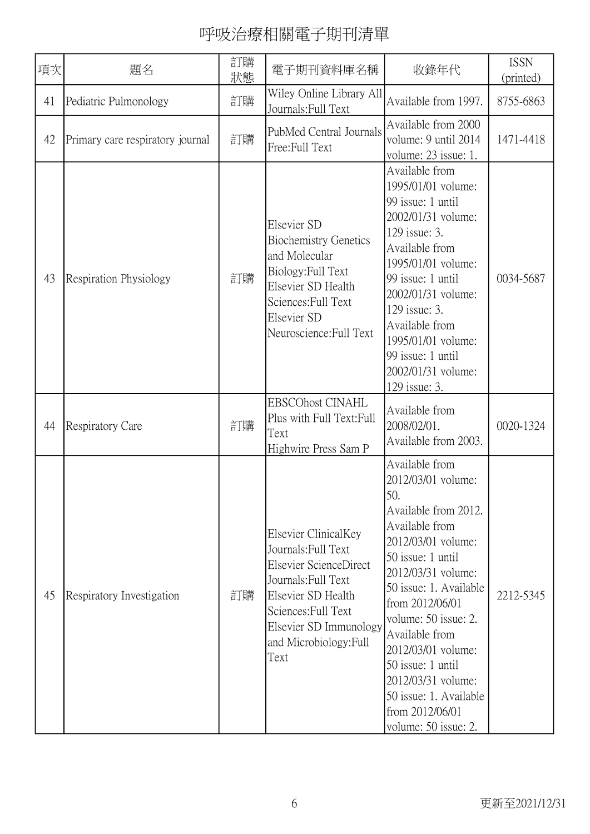| 項次 | 題名                               | 訂購<br>狀態 | 電子期刊資料庫名稱                                                                                                                                                                                             | 收錄年代                                                                                                                                                                                                                                                                                                                                                                                | <b>ISSN</b><br>(printed) |
|----|----------------------------------|----------|-------------------------------------------------------------------------------------------------------------------------------------------------------------------------------------------------------|-------------------------------------------------------------------------------------------------------------------------------------------------------------------------------------------------------------------------------------------------------------------------------------------------------------------------------------------------------------------------------------|--------------------------|
| 41 | Pediatric Pulmonology            | 訂購       | Wiley Online Library All<br>Journals: Full Text                                                                                                                                                       | Available from 1997.                                                                                                                                                                                                                                                                                                                                                                | 8755-6863                |
| 42 | Primary care respiratory journal | 訂購       | PubMed Central Journals<br>Free:Full Text                                                                                                                                                             | Available from 2000<br>volume: 9 until 2014<br>volume: 23 issue: 1.                                                                                                                                                                                                                                                                                                                 | 1471-4418                |
| 43 | <b>Respiration Physiology</b>    | 訂購       | Elsevier SD<br><b>Biochemistry Genetics</b><br>and Molecular<br>Biology: Full Text<br>Elsevier SD Health<br>Sciences: Full Text<br>Elsevier SD<br>Neuroscience: Full Text                             | Available from<br>1995/01/01 volume:<br>99 issue: 1 until<br>2002/01/31 volume:<br>129 issue: 3.<br>Available from<br>1995/01/01 volume:<br>99 issue: 1 until<br>2002/01/31 volume:<br>129 issue: 3.<br>Available from<br>1995/01/01 volume:<br>99 issue: 1 until<br>2002/01/31 volume:<br>129 issue: 3.                                                                            | 0034-5687                |
| 44 | <b>Respiratory Care</b>          | 訂購       | <b>EBSCOhost CINAHL</b><br>Plus with Full Text: Full<br>Text<br>Highwire Press Sam P                                                                                                                  | Available from<br>2008/02/01.<br>Available from 2003.                                                                                                                                                                                                                                                                                                                               | 0020-1324                |
| 45 | Respiratory Investigation        | 訂購       | Elsevier ClinicalKey<br>Journals: Full Text<br>Elsevier ScienceDirect<br>Journals: Full Text<br>Elsevier SD Health<br>Sciences: Full Text<br>Elsevier SD Immunology<br>and Microbiology: Full<br>Text | Available from<br>2012/03/01 volume:<br>50.<br>Available from 2012.<br>Available from<br>2012/03/01 volume:<br>50 issue: 1 until<br>2012/03/31 volume:<br>50 issue: 1. Available<br>from 2012/06/01<br>volume: 50 issue: 2.<br>Available from<br>2012/03/01 volume:<br>50 issue: 1 until<br>2012/03/31 volume:<br>50 issue: 1. Available<br>from 2012/06/01<br>volume: 50 issue: 2. | 2212-5345                |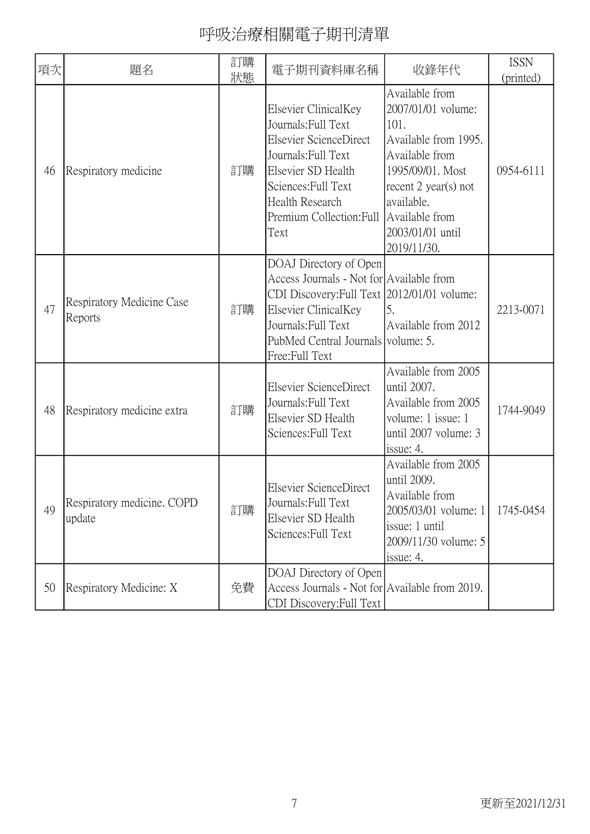| 項次 | 題名                                   | 訂購<br>狀態 | 電子期刊資料庫名稱                                                                                                                                                                                                                 | 收錄年代                                                                                                                                                                                  | <b>ISSN</b><br>(printed) |
|----|--------------------------------------|----------|---------------------------------------------------------------------------------------------------------------------------------------------------------------------------------------------------------------------------|---------------------------------------------------------------------------------------------------------------------------------------------------------------------------------------|--------------------------|
| 46 | Respiratory medicine                 | 訂購       | Elsevier ClinicalKey<br>Journals: Full Text<br>Elsevier ScienceDirect<br>Journals: Full Text<br>Elsevier SD Health<br>Sciences: Full Text<br>Health Research<br>Premium Collection: Full Available from<br>Text           | Available from<br>2007/01/01 volume:<br>101.<br>Available from 1995.<br>Available from<br>1995/09/01. Most<br>recent $2$ year(s) not<br>available.<br>2003/01/01 until<br>2019/11/30. | 0954-6111                |
| 47 | Respiratory Medicine Case<br>Reports | 訂購       | DOAJ Directory of Open<br>Access Journals - Not for Available from<br>CDI Discovery: Full Text 2012/01/01 volume:<br>Elsevier ClinicalKey<br>Journals: Full Text<br>PubMed Central Journals volume: 5.<br>Free: Full Text | 5.<br>Available from 2012                                                                                                                                                             | 2213-0071                |
| 48 | Respiratory medicine extra           | 訂購       | Elsevier ScienceDirect<br>Journals: Full Text<br>Elsevier SD Health<br>Sciences: Full Text                                                                                                                                | Available from 2005<br>until 2007.<br>Available from 2005<br>volume: 1 issue: 1<br>until 2007 volume: 3<br>issue: 4.                                                                  | 1744-9049                |
| 49 | Respiratory medicine. COPD<br>update | 訂購       | Elsevier ScienceDirect<br>Journals: Full Text<br>Elsevier SD Health<br>Sciences: Full Text                                                                                                                                | Available from 2005<br>until 2009.<br>Available from<br>2005/03/01 volume: 1<br>issue: 1 until<br>2009/11/30 volume: 5<br>issue: 4.                                                   | 1745-0454                |
| 50 | Respiratory Medicine: X              | 免費       | DOAJ Directory of Open<br>Access Journals - Not for Available from 2019.<br>CDI Discovery: Full Text                                                                                                                      |                                                                                                                                                                                       |                          |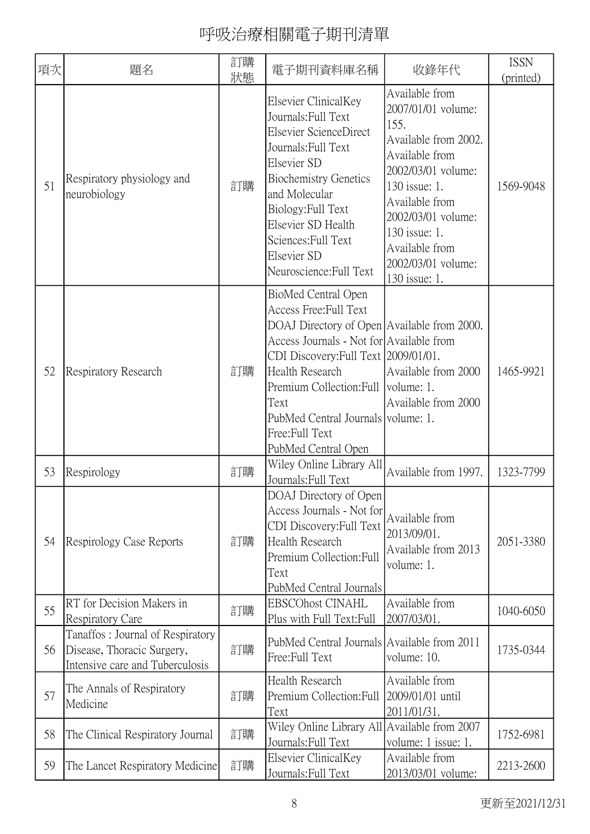| 項次 | 題名                                                                                                | 訂購<br>狀態 | 電子期刊資料庫名稱                                                                                                                                                                                                                                                                                                                            | 收錄年代                                                                                                                                                                                                                                            | <b>ISSN</b><br>(printed) |
|----|---------------------------------------------------------------------------------------------------|----------|--------------------------------------------------------------------------------------------------------------------------------------------------------------------------------------------------------------------------------------------------------------------------------------------------------------------------------------|-------------------------------------------------------------------------------------------------------------------------------------------------------------------------------------------------------------------------------------------------|--------------------------|
| 51 | Respiratory physiology and<br>neurobiology                                                        | 訂購       | Elsevier ClinicalKey<br>Journals: Full Text<br>Elsevier ScienceDirect<br>Journals: Full Text<br>Elsevier SD<br><b>Biochemistry Genetics</b><br>and Molecular<br>Biology: Full Text<br>Elsevier SD Health<br>Sciences: Full Text<br>Elsevier SD<br>Neuroscience: Full Text                                                            | Available from<br>2007/01/01 volume:<br>155.<br>Available from 2002.<br>Available from<br>2002/03/01 volume:<br>130 issue: 1.<br>Available from<br>2002/03/01 volume:<br>130 issue: 1.<br>Available from<br>2002/03/01 volume:<br>130 issue: 1. | 1569-9048                |
| 52 | <b>Respiratory Research</b>                                                                       | 訂購       | BioMed Central Open<br>Access Free: Full Text<br>DOAJ Directory of Open Available from 2000.<br>Access Journals - Not for Available from<br>CDI Discovery: Full Text 2009/01/01.<br>Health Research<br>Premium Collection: Full   volume: 1.<br>Text<br>PubMed Central Journals volume: 1.<br>Free: Full Text<br>PubMed Central Open | Available from 2000<br>Available from 2000                                                                                                                                                                                                      | 1465-9921                |
| 53 | Respirology                                                                                       | 訂購       | Wiley Online Library All<br>Journals: Full Text                                                                                                                                                                                                                                                                                      | Available from 1997.                                                                                                                                                                                                                            | 1323-7799                |
| 54 | Respirology Case Reports                                                                          | 訂購       | DOAJ Directory of Open<br>Access Journals - Not for<br>CDI Discovery: Full Text<br>Health Research<br>Premium Collection: Full<br>Text<br>PubMed Central Journals                                                                                                                                                                    | Available from<br>2013/09/01.<br>Available from 2013<br>volume: 1.                                                                                                                                                                              | 2051-3380                |
| 55 | RT for Decision Makers in<br><b>Respiratory Care</b>                                              | 訂購       | <b>EBSCOhost CINAHL</b><br>Plus with Full Text: Full                                                                                                                                                                                                                                                                                 | Available from<br>2007/03/01.                                                                                                                                                                                                                   | 1040-6050                |
| 56 | Tanaffos: Journal of Respiratory<br>Disease, Thoracic Surgery,<br>Intensive care and Tuberculosis | 訂購       | PubMed Central Journals Available from 2011<br>Free:Full Text                                                                                                                                                                                                                                                                        | volume: 10.                                                                                                                                                                                                                                     | 1735-0344                |
| 57 | The Annals of Respiratory<br>Medicine                                                             | 訂購       | Health Research<br>Premium Collection: Full<br>Text                                                                                                                                                                                                                                                                                  | Available from<br>2009/01/01 until<br>2011/01/31.                                                                                                                                                                                               |                          |
| 58 | The Clinical Respiratory Journal                                                                  | 訂購       | Wiley Online Library All Available from 2007<br>Journals: Full Text                                                                                                                                                                                                                                                                  | volume: 1 issue: 1.                                                                                                                                                                                                                             | 1752-6981                |
| 59 | The Lancet Respiratory Medicine                                                                   | 訂購       | Elsevier ClinicalKey<br>Journals: Full Text                                                                                                                                                                                                                                                                                          | Available from<br>2013/03/01 volume:                                                                                                                                                                                                            | 2213-2600                |